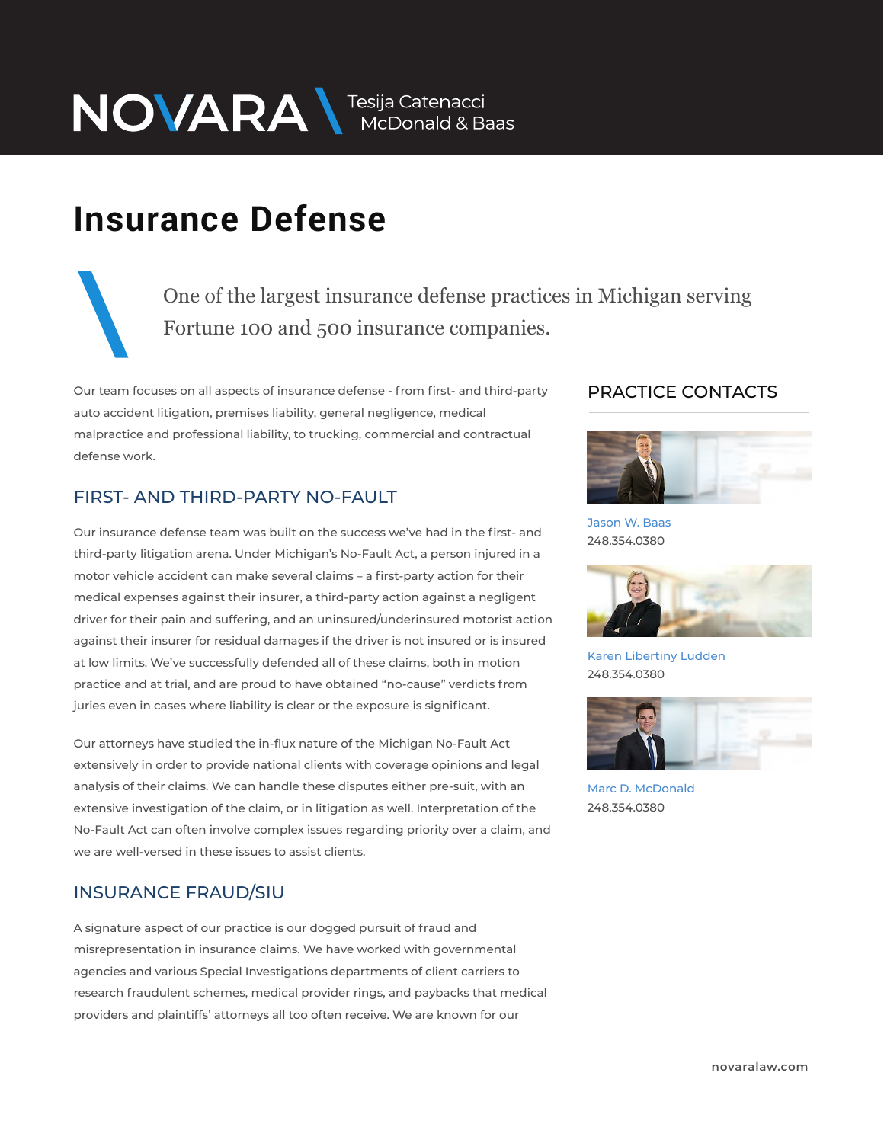NOVARA MEDOnald & Baas

## **Insurance Defense**

One of the largest insurance defense practices in Michigan serving Fortune 100 and 500 insurance companies.

Our team focuses on all aspects of insurance defense - from first- and third-party auto accident litigation, premises liability, general negligence, medical malpractice and professional liability, to trucking, commercial and contractual defense work.

#### FIRST- AND THIRD-PARTY NO-FAULT

Our insurance defense team was built on the success we've had in the first- and third-party litigation arena. Under Michigan's No-Fault Act, a person injured in a motor vehicle accident can make several claims – a first-party action for their medical expenses against their insurer, a third-party action against a negligent driver for their pain and suffering, and an uninsured/underinsured motorist action against their insurer for residual damages if the driver is not insured or is insured at low limits. We've successfully defended all of these claims, both in motion practice and at trial, and are proud to have obtained "no-cause" verdicts from juries even in cases where liability is clear or the exposure is significant.

Our attorneys have studied the in-flux nature of the Michigan No-Fault Act extensively in order to provide national clients with coverage opinions and legal analysis of their claims. We can handle these disputes either pre-suit, with an extensive investigation of the claim, or in litigation as well. Interpretation of the No-Fault Act can often involve complex issues regarding priority over a claim, and we are well-versed in these issues to assist clients.

#### INSURANCE FRAUD/SIU

A signature aspect of our practice is our dogged pursuit of fraud and misrepresentation in insurance claims. We have worked with governmental agencies and various Special Investigations departments of client carriers to research fraudulent schemes, medical provider rings, and paybacks that medical providers and plaintiffs' attorneys all too often receive. We are known for our

#### PRACTICE CONTACTS  $\overline{\phantom{a}}$



Jason W. Baas 248.354.0380



Karen Libertiny Ludden 248.354.0380



Marc D. McDonald 248.354.0380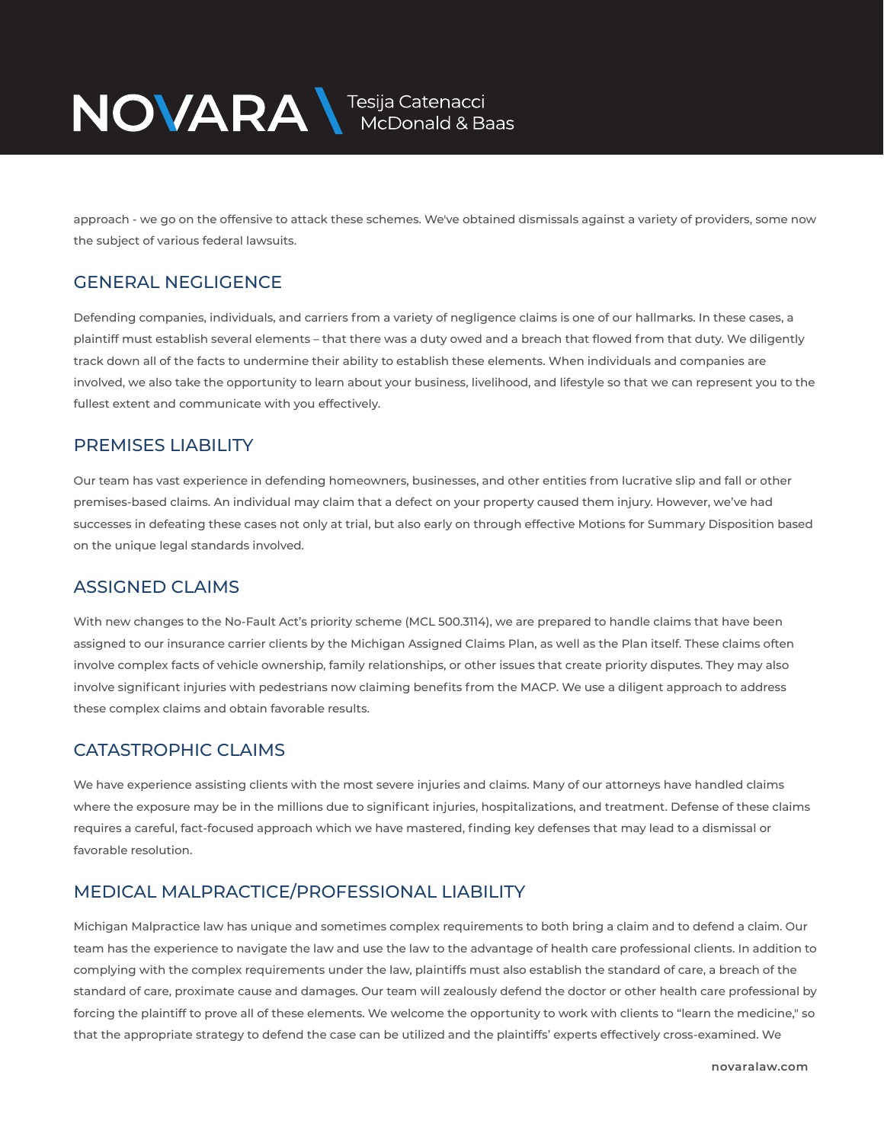

approach - we go on the offensive to attack these schemes. We've obtained dismissals against a variety of providers, some now the subject of various federal lawsuits.

#### GENERAL NEGLIGENCE

Defending companies, individuals, and carriers from a variety of negligence claims is one of our hallmarks. In these cases, a plaintiff must establish several elements – that there was a duty owed and a breach that flowed from that duty. We diligently track down all of the facts to undermine their ability to establish these elements. When individuals and companies are involved, we also take the opportunity to learn about your business, livelihood, and lifestyle so that we can represent you to the fullest extent and communicate with you effectively.

#### PREMISES LIABILITY

Our team has vast experience in defending homeowners, businesses, and other entities from lucrative slip and fall or other premises-based claims. An individual may claim that a defect on your property caused them injury. However, we've had successes in defeating these cases not only at trial, but also early on through effective Motions for Summary Disposition based on the unique legal standards involved.

#### ASSIGNED CLAIMS

With new changes to the No-Fault Act's priority scheme (MCL 500.3114), we are prepared to handle claims that have been assigned to our insurance carrier clients by the Michigan Assigned Claims Plan, as well as the Plan itself. These claims often involve complex facts of vehicle ownership, family relationships, or other issues that create priority disputes. They may also involve significant injuries with pedestrians now claiming benefits from the MACP. We use a diligent approach to address these complex claims and obtain favorable results.

#### CATASTROPHIC CLAIMS

We have experience assisting clients with the most severe injuries and claims. Many of our attorneys have handled claims where the exposure may be in the millions due to significant injuries, hospitalizations, and treatment. Defense of these claims requires a careful, fact-focused approach which we have mastered, finding key defenses that may lead to a dismissal or favorable resolution.

#### MEDICAL MALPRACTICE/PROFESSIONAL LIABILITY

Michigan Malpractice law has unique and sometimes complex requirements to both bring a claim and to defend a claim. Our team has the experience to navigate the law and use the law to the advantage of health care professional clients. In addition to complying with the complex requirements under the law, plaintiffs must also establish the standard of care, a breach of the standard of care, proximate cause and damages. Our team will zealously defend the doctor or other health care professional by forcing the plaintiff to prove all of these elements. We welcome the opportunity to work with clients to "learn the medicine," so that the appropriate strategy to defend the case can be utilized and the plaintiffs' experts effectively cross-examined. We